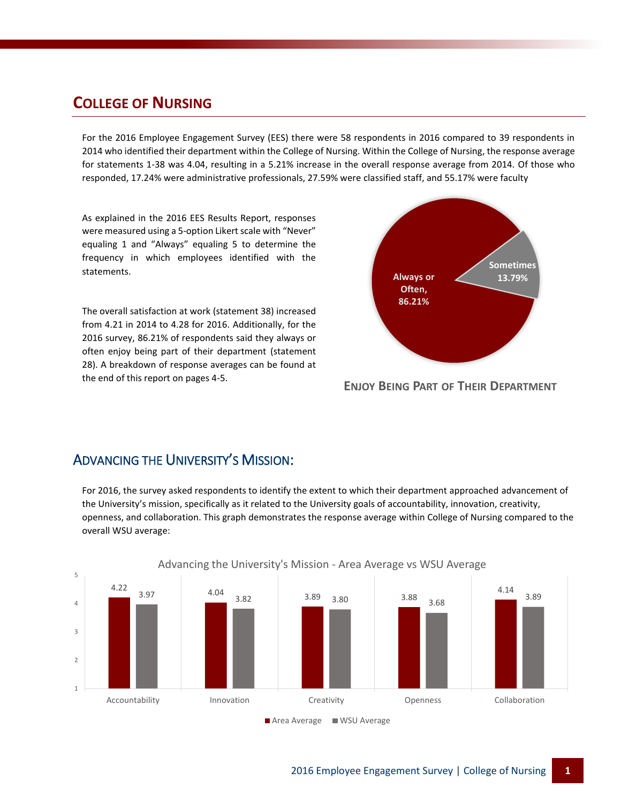## **COLLEGE OF NURSING**

For the 2016 Employee Engagement Survey (EES) there were 58 respondents in 2016 compared to 39 respondents in 2014 who identified their department within the College of Nursing. Within the College of Nursing, the response average for statements 1-38 was 4.04, resulting in a 5.21% increase in the overall response average from 2014. Of those who responded, 17.24% were administrative professionals, 27.59% were classified staff, and 55.17% were faculty

As explained in the 2016 EES Results Report, responses were measured using a 5-option Likert scale with "Never" equaling 1 and "Always" equaling 5 to determine the frequency in which employees identified with the statements.

The overall satisfaction at work (statement 38) increased from 4.21 in 2014 to 4.28 for 2016. Additionally, for the 2016 survey, 86.21% of respondents said they always or often enjoy being part of their department (statement 28). A breakdown of response averages can be found at the end of this report on pages 4-5.



**ENJOY BEING PART OF THEIR DEPARTMENT**

#### ADVANCING THE UNIVERSITY'S MISSION:

For 2016, the survey asked respondents to identify the extent to which their department approached advancement of the University's mission, specifically as it related to the University goals of accountability, innovation, creativity, openness, and collaboration. This graph demonstrates the response average within College of Nursing compared to the overall WSU average:

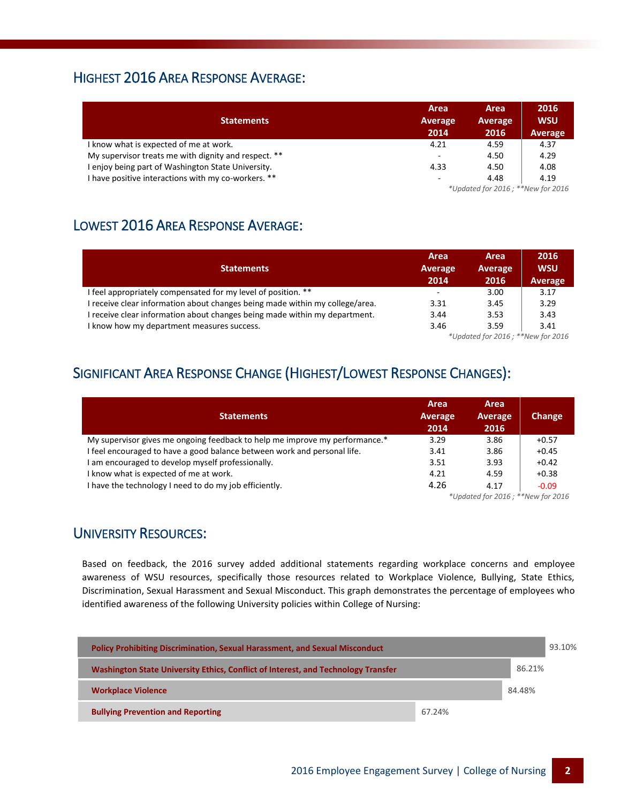### HIGHEST 2016 AREA RESPONSE AVERAGE:

| <b>Statements</b>                                    | Area<br><b>Average</b><br>2014 | Area<br>Average<br>2016           | 2016<br><b>WSU</b><br><b>Average</b> |  |
|------------------------------------------------------|--------------------------------|-----------------------------------|--------------------------------------|--|
| I know what is expected of me at work.               | 4.21                           | 4.59                              | 4.37                                 |  |
| My supervisor treats me with dignity and respect. ** | $\overline{\phantom{a}}$       | 4.50                              | 4.29                                 |  |
| I enjoy being part of Washington State University.   | 4.33                           | 4.50                              | 4.08                                 |  |
| I have positive interactions with my co-workers. **  | $\overline{\phantom{a}}$       | 4.48                              | 4.19                                 |  |
|                                                      |                                | *Updated for 2016; **New for 2016 |                                      |  |

## LOWEST 2016 AREA RESPONSE AVERAGE:

| <b>Statements</b>                                                            | Area<br>Average<br>2014  | Area<br>Average<br>2016 | 2016<br><b>WSU</b><br>Average |
|------------------------------------------------------------------------------|--------------------------|-------------------------|-------------------------------|
| I feel appropriately compensated for my level of position. **                | $\overline{\phantom{a}}$ | 3.00                    | 3.17                          |
| I receive clear information about changes being made within my college/area. | 3.31                     | 3.45                    | 3.29                          |
| I receive clear information about changes being made within my department.   | 3.44                     | 3.53                    | 3.43                          |
| I know how my department measures success.                                   | 3.46                     | 3.59<br>$*$             | 3.41                          |

*\*Updated for 2016 ; \*\*New for 2016*

## SIGNIFICANT AREA RESPONSE CHANGE (HIGHEST/LOWEST RESPONSE CHANGES):

| <b>Statements</b>                                                           | Area<br><b>Average</b><br>2014 | Area<br>Average<br>2016           | <b>Change</b> |
|-----------------------------------------------------------------------------|--------------------------------|-----------------------------------|---------------|
| My supervisor gives me ongoing feedback to help me improve my performance.* | 3.29                           | 3.86                              | $+0.57$       |
| I feel encouraged to have a good balance between work and personal life.    | 3.41                           | 3.86                              | $+0.45$       |
| I am encouraged to develop myself professionally.                           | 3.51                           | 3.93                              | $+0.42$       |
| I know what is expected of me at work.                                      | 4.21                           | 4.59                              | $+0.38$       |
| I have the technology I need to do my job efficiently.                      | 4.26                           | 4.17                              | $-0.09$       |
|                                                                             |                                | *Updated for 2016; **New for 2016 |               |

#### UNIVERSITY RESOURCES:

Based on feedback, the 2016 survey added additional statements regarding workplace concerns and employee awareness of WSU resources, specifically those resources related to Workplace Violence, Bullying, State Ethics, Discrimination, Sexual Harassment and Sexual Misconduct. This graph demonstrates the percentage of employees who identified awareness of the following University policies within College of Nursing:

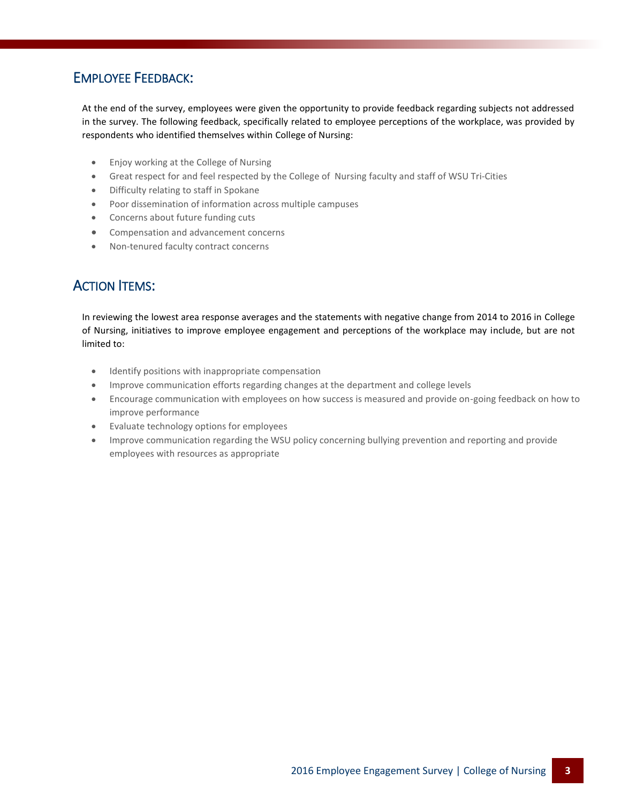## EMPLOYEE FEEDBACK:

At the end of the survey, employees were given the opportunity to provide feedback regarding subjects not addressed in the survey. The following feedback, specifically related to employee perceptions of the workplace, was provided by respondents who identified themselves within College of Nursing:

- Enjoy working at the College of Nursing
- Great respect for and feel respected by the College of Nursing faculty and staff of WSU Tri-Cities
- Difficulty relating to staff in Spokane
- Poor dissemination of information across multiple campuses
- Concerns about future funding cuts
- Compensation and advancement concerns
- Non-tenured faculty contract concerns

## ACTION ITEMS:

In reviewing the lowest area response averages and the statements with negative change from 2014 to 2016 in College of Nursing, initiatives to improve employee engagement and perceptions of the workplace may include, but are not limited to:

- Identify positions with inappropriate compensation
- Improve communication efforts regarding changes at the department and college levels
- Encourage communication with employees on how success is measured and provide on-going feedback on how to improve performance
- Evaluate technology options for employees
- Improve communication regarding the WSU policy concerning bullying prevention and reporting and provide employees with resources as appropriate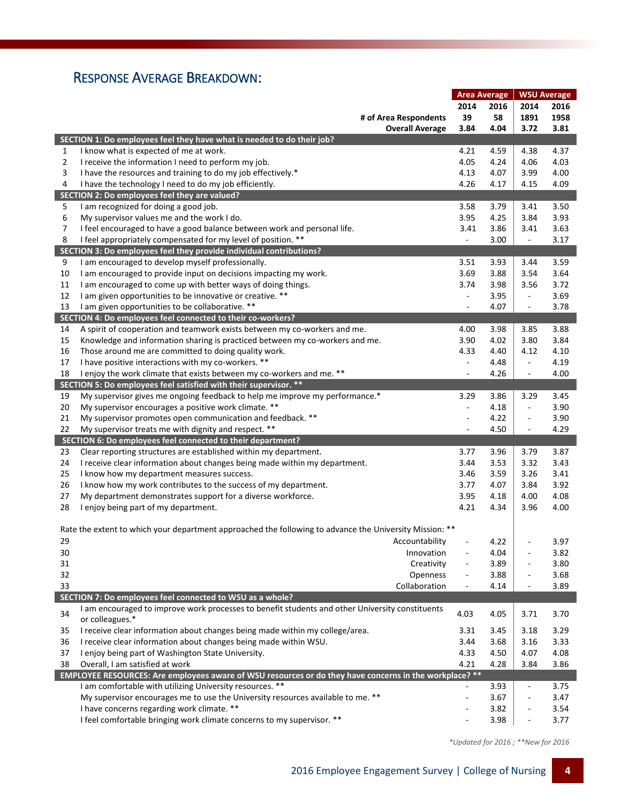## RESPONSE AVERAGE BREAKDOWN:

|                |                                                                                                         |                          | <b>Area Average</b> |                          | <b>WSU Average</b> |
|----------------|---------------------------------------------------------------------------------------------------------|--------------------------|---------------------|--------------------------|--------------------|
|                |                                                                                                         | 2014                     | 2016                | 2014                     | 2016               |
|                | # of Area Respondents                                                                                   | 39                       | 58                  | 1891                     | 1958               |
|                | <b>Overall Average</b>                                                                                  | 3.84                     | 4.04                | 3.72                     | 3.81               |
|                | SECTION 1: Do employees feel they have what is needed to do their job?                                  |                          |                     |                          |                    |
| 1              | I know what is expected of me at work.                                                                  | 4.21                     | 4.59                | 4.38                     | 4.37               |
| $\overline{2}$ | I receive the information I need to perform my job.                                                     | 4.05                     | 4.24                | 4.06                     | 4.03               |
| 3              | I have the resources and training to do my job effectively.*                                            | 4.13                     | 4.07                | 3.99                     | 4.00               |
| 4              | I have the technology I need to do my job efficiently.                                                  | 4.26                     | 4.17                | 4.15                     | 4.09               |
|                | SECTION 2: Do employees feel they are valued?                                                           |                          |                     |                          |                    |
| 5              | I am recognized for doing a good job.                                                                   | 3.58                     | 3.79                | 3.41                     | 3.50               |
| 6              | My supervisor values me and the work I do.                                                              | 3.95                     | 4.25                | 3.84                     | 3.93               |
| 7              | I feel encouraged to have a good balance between work and personal life.                                | 3.41                     | 3.86                | 3.41                     | 3.63               |
| 8              | I feel appropriately compensated for my level of position. **                                           | $\Box$                   | 3.00                | $\blacksquare$           | 3.17               |
|                |                                                                                                         |                          |                     |                          |                    |
|                | SECTION 3: Do employees feel they provide individual contributions?                                     |                          |                     |                          |                    |
| 9              | I am encouraged to develop myself professionally.                                                       | 3.51                     | 3.93                | 3.44                     | 3.59               |
| 10             | I am encouraged to provide input on decisions impacting my work.                                        | 3.69                     | 3.88                | 3.54                     | 3.64               |
| 11             | I am encouraged to come up with better ways of doing things.                                            | 3.74                     | 3.98                | 3.56                     | 3.72               |
| 12             | I am given opportunities to be innovative or creative. **                                               | $\overline{\phantom{a}}$ | 3.95                | $\overline{\phantom{a}}$ | 3.69               |
| 13             | I am given opportunities to be collaborative. **                                                        | $\overline{\phantom{a}}$ | 4.07                | $\overline{\phantom{a}}$ | 3.78               |
|                | SECTION 4: Do employees feel connected to their co-workers?                                             |                          |                     |                          |                    |
| 14             | A spirit of cooperation and teamwork exists between my co-workers and me.                               | 4.00                     | 3.98                | 3.85                     | 3.88               |
| 15             | Knowledge and information sharing is practiced between my co-workers and me.                            | 3.90                     | 4.02                | 3.80                     | 3.84               |
| 16             | Those around me are committed to doing quality work.                                                    | 4.33                     | 4.40                | 4.12                     | 4.10               |
| 17             | I have positive interactions with my co-workers. **                                                     | $\blacksquare$           | 4.48                | $\overline{\phantom{a}}$ | 4.19               |
| 18             | I enjoy the work climate that exists between my co-workers and me. **                                   | ÷,                       | 4.26                | $\overline{\phantom{a}}$ | 4.00               |
|                | SECTION 5: Do employees feel satisfied with their supervisor. **                                        |                          |                     |                          |                    |
| 19             | My supervisor gives me ongoing feedback to help me improve my performance.*                             | 3.29                     | 3.86                | 3.29                     | 3.45               |
| 20             | My supervisor encourages a positive work climate. **                                                    | $\overline{\phantom{a}}$ | 4.18                | $\overline{\phantom{a}}$ | 3.90               |
| 21             | My supervisor promotes open communication and feedback. **                                              | $\overline{\phantom{a}}$ | 4.22                | $\overline{\phantom{a}}$ | 3.90               |
| 22             | My supervisor treats me with dignity and respect. **                                                    | $\overline{\phantom{a}}$ | 4.50                | $\blacksquare$           | 4.29               |
|                | SECTION 6: Do employees feel connected to their department?                                             |                          |                     |                          |                    |
| 23             | Clear reporting structures are established within my department.                                        | 3.77                     | 3.96                | 3.79                     | 3.87               |
| 24             | I receive clear information about changes being made within my department.                              | 3.44                     | 3.53                | 3.32                     | 3.43               |
| 25             | I know how my department measures success.                                                              | 3.46                     | 3.59                | 3.26                     | 3.41               |
| 26             | I know how my work contributes to the success of my department.                                         | 3.77                     | 4.07                | 3.84                     | 3.92               |
| 27             | My department demonstrates support for a diverse workforce.                                             | 3.95                     | 4.18                | 4.00                     | 4.08               |
| 28             | I enjoy being part of my department.                                                                    | 4.21                     | 4.34                | 3.96                     | 4.00               |
|                |                                                                                                         |                          |                     |                          |                    |
|                | Rate the extent to which your department approached the following to advance the University Mission: ** |                          |                     |                          |                    |
| 29             | Accountability                                                                                          |                          | 4.22                |                          | 3.97               |
| 30             | Innovation                                                                                              |                          | 4.04                | $\overline{\phantom{a}}$ | 3.82               |
| 31             | Creativity                                                                                              |                          | 3.89                | ÷,                       | 3.80               |
| 32             | Openness                                                                                                | $\overline{\phantom{a}}$ | 3.88                | $\blacksquare$           | 3.68               |
| 33             | Collaboration                                                                                           | $\overline{\phantom{a}}$ | 4.14                | $\overline{\phantom{a}}$ | 3.89               |
|                | SECTION 7: Do employees feel connected to WSU as a whole?                                               |                          |                     |                          |                    |
|                | I am encouraged to improve work processes to benefit students and other University constituents         |                          |                     |                          |                    |
| 34             | or colleagues.*                                                                                         | 4.03                     | 4.05                | 3.71                     | 3.70               |
| 35             | I receive clear information about changes being made within my college/area.                            | 3.31                     | 3.45                | 3.18                     | 3.29               |
| 36             | I receive clear information about changes being made within WSU.                                        | 3.44                     | 3.68                | 3.16                     | 3.33               |
| 37             | I enjoy being part of Washington State University.                                                      | 4.33                     | 4.50                | 4.07                     | 4.08               |
| 38             | Overall, I am satisfied at work                                                                         | 4.21                     | 4.28                | 3.84                     | 3.86               |
|                | EMPLOYEE RESOURCES: Are employees aware of WSU resources or do they have concerns in the workplace? **  |                          |                     |                          |                    |
|                | I am comfortable with utilizing University resources. **                                                | $\Box$                   | 3.93                | $\overline{\phantom{a}}$ | 3.75               |
|                | My supervisor encourages me to use the University resources available to me. **                         | $\overline{\phantom{a}}$ | 3.67                | ÷,                       | 3.47               |
|                | I have concerns regarding work climate. **                                                              |                          | 3.82                | $\blacksquare$           | 3.54               |
|                | I feel comfortable bringing work climate concerns to my supervisor. **                                  |                          | 3.98                | $\overline{\phantom{a}}$ | 3.77               |
|                |                                                                                                         |                          |                     |                          |                    |

 *\*Updated for 2016 ; \*\*New for 2016*